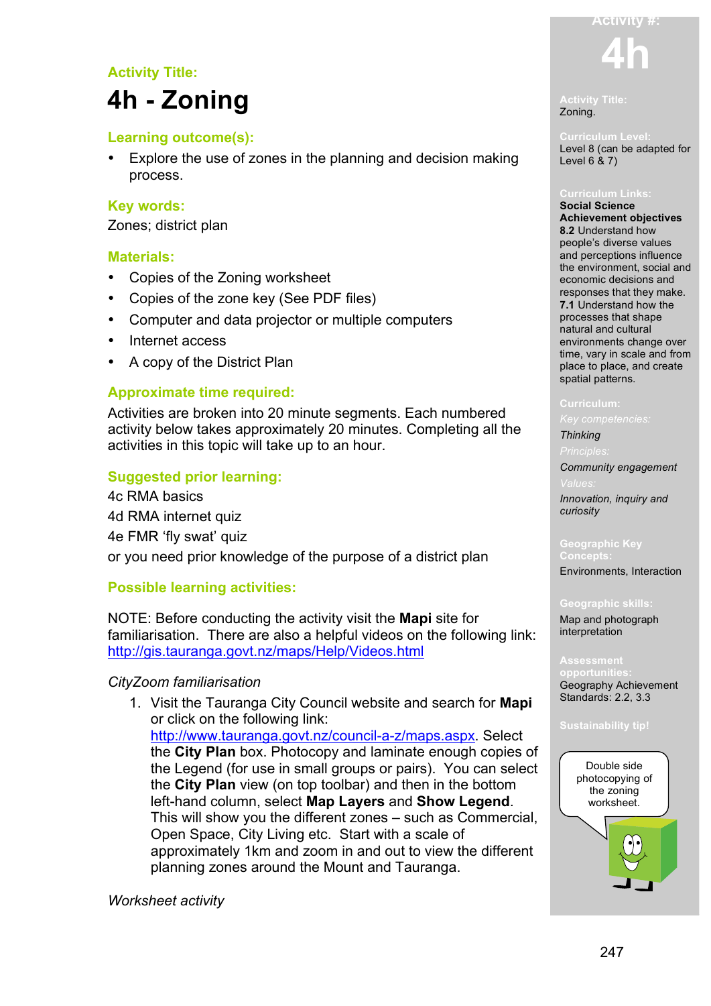## **Activity Title:**

## **4h - Zoning**

## **Learning outcome(s):**

• Explore the use of zones in the planning and decision making process.

## **Key words:**

Zones; district plan

## **Materials:**

- Copies of the Zoning worksheet
- Copies of the zone key (See PDF files)
- Computer and data projector or multiple computers
- Internet access
- A copy of the District Plan

## **Approximate time required:**

Activities are broken into 20 minute segments. Each numbered activity below takes approximately 20 minutes. Completing all the activities in this topic will take up to an hour.

## **Suggested prior learning:**

4c RMA basics 4d RMA internet quiz 4e FMR 'fly swat' quiz or you need prior knowledge of the purpose of a district plan

## **Possible learning activities:**

NOTE: Before conducting the activity visit the **Mapi** site for familiarisation. There are also a helpful videos on the following link: http://gis.tauranga.govt.nz/maps/Help/Videos.html

## *CityZoom familiarisation*

1. Visit the Tauranga City Council website and search for **Mapi** or click on the following link: http://www.tauranga.govt.nz/council-a-z/maps.aspx. Select the **City Plan** box. Photocopy and laminate enough copies of the Legend (for use in small groups or pairs). You can select the **City Plan** view (on top toolbar) and then in the bottom left-hand column, select **Map Layers** and **Show Legend**. This will show you the different zones – such as Commercial, Open Space, City Living etc. Start with a scale of approximately 1km and zoom in and out to view the different planning zones around the Mount and Tauranga.

*Worksheet activity*

# **4h**

**Activity #:**

**Activity Title:** Zoning.

Level 8 (can be adapted for Level 6 & 7)

**Social Science Achievement objectives 8.2** Understand how people's diverse values and perceptions influence the environment, social and economic decisions and responses that they make. **7.1** Understand how the processes that shape natural and cultural environments change over time, vary in scale and from place to place, and create spatial patterns.

*Key competencies:*

## *Thinking*

*Community engagement* 

*Innovation, inquiry and curiosity*

## **Geographic Key**

Environments, Interaction

### **Geographic skills:**

Map and photograph interpretation

**opportunities:** Geography Achievement Standards: 2.2, 3.3